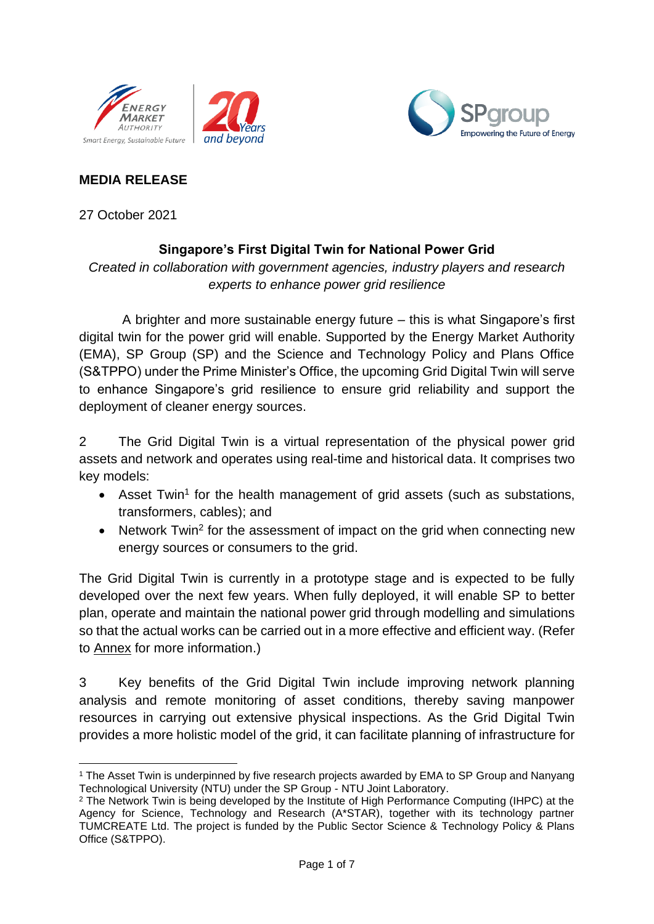



# **MEDIA RELEASE**

27 October 2021

# **Singapore's First Digital Twin for National Power Grid**

*Created in collaboration with government agencies, industry players and research experts to enhance power grid resilience*

A brighter and more sustainable energy future – this is what Singapore's first digital twin for the power grid will enable. Supported by the Energy Market Authority (EMA), SP Group (SP) and the Science and Technology Policy and Plans Office (S&TPPO) under the Prime Minister's Office, the upcoming Grid Digital Twin will serve to enhance Singapore's grid resilience to ensure grid reliability and support the deployment of cleaner energy sources.

2 The Grid Digital Twin is a virtual representation of the physical power grid assets and network and operates using real-time and historical data. It comprises two key models:

- Asset Twin<sup>1</sup> for the health management of grid assets (such as substations, transformers, cables); and
- Network Twin<sup>2</sup> for the assessment of impact on the grid when connecting new energy sources or consumers to the grid.

The Grid Digital Twin is currently in a prototype stage and is expected to be fully developed over the next few years. When fully deployed, it will enable SP to better plan, operate and maintain the national power grid through modelling and simulations so that the actual works can be carried out in a more effective and efficient way. (Refer to Annex for more information.)

3 Key benefits of the Grid Digital Twin include improving network planning analysis and remote monitoring of asset conditions, thereby saving manpower resources in carrying out extensive physical inspections. As the Grid Digital Twin provides a more holistic model of the grid, it can facilitate planning of infrastructure for

<sup>&</sup>lt;sup>1</sup> The Asset Twin is underpinned by five research projects awarded by EMA to SP Group and Nanyang Technological University (NTU) under the SP Group - NTU Joint Laboratory.

<sup>&</sup>lt;sup>2</sup> The Network Twin is being developed by the Institute of High Performance Computing (IHPC) at the Agency for Science, Technology and Research (A\*STAR), together with its technology partner TUMCREATE Ltd. The project is funded by the Public Sector Science & Technology Policy & Plans Office (S&TPPO).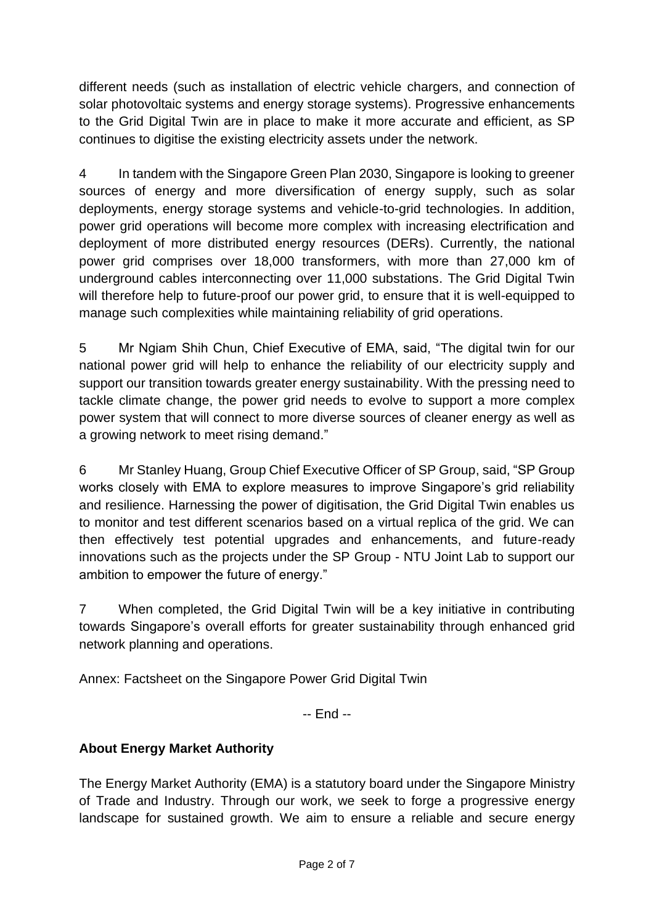different needs (such as installation of electric vehicle chargers, and connection of solar photovoltaic systems and energy storage systems). Progressive enhancements to the Grid Digital Twin are in place to make it more accurate and efficient, as SP continues to digitise the existing electricity assets under the network.

4 In tandem with the Singapore Green Plan 2030, Singapore is looking to greener sources of energy and more diversification of energy supply, such as solar deployments, energy storage systems and vehicle-to-grid technologies. In addition, power grid operations will become more complex with increasing electrification and deployment of more distributed energy resources (DERs). Currently, the national power grid comprises over 18,000 transformers, with more than 27,000 km of underground cables interconnecting over 11,000 substations. The Grid Digital Twin will therefore help to future-proof our power grid, to ensure that it is well-equipped to manage such complexities while maintaining reliability of grid operations.

5 Mr Ngiam Shih Chun, Chief Executive of EMA, said, "The digital twin for our national power grid will help to enhance the reliability of our electricity supply and support our transition towards greater energy sustainability. With the pressing need to tackle climate change, the power grid needs to evolve to support a more complex power system that will connect to more diverse sources of cleaner energy as well as a growing network to meet rising demand."

6 Mr Stanley Huang, Group Chief Executive Officer of SP Group, said, "SP Group works closely with EMA to explore measures to improve Singapore's grid reliability and resilience. Harnessing the power of digitisation, the Grid Digital Twin enables us to monitor and test different scenarios based on a virtual replica of the grid. We can then effectively test potential upgrades and enhancements, and future-ready innovations such as the projects under the SP Group - NTU Joint Lab to support our ambition to empower the future of energy."

7 When completed, the Grid Digital Twin will be a key initiative in contributing towards Singapore's overall efforts for greater sustainability through enhanced grid network planning and operations.

Annex: Factsheet on the Singapore Power Grid Digital Twin

-- End --

# **About Energy Market Authority**

The Energy Market Authority (EMA) is a statutory board under the Singapore Ministry of Trade and Industry. Through our work, we seek to forge a progressive energy landscape for sustained growth. We aim to ensure a reliable and secure energy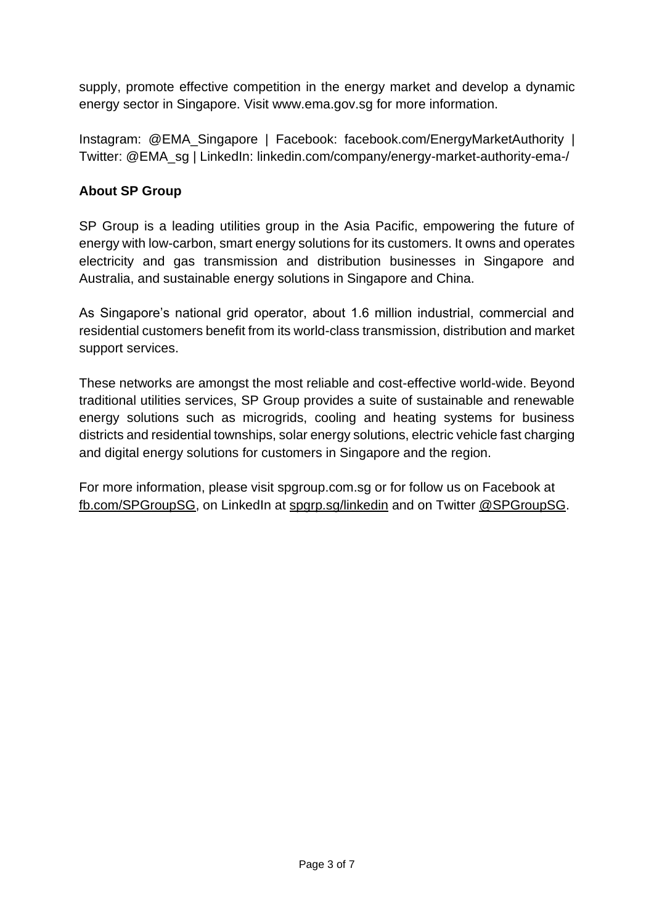supply, promote effective competition in the energy market and develop a dynamic energy sector in Singapore. Visit [www.ema.gov.sg](http://www.ema.gov.sg/) for more information.

Instagram: [@EMA\\_Singapore](http://www.instagram.com/ema_singapore) | Facebook: [facebook.com/EnergyMarketAuthority](http://www.facebook.com/EnergyMarketAuthority) | Twitter: [@EMA\\_sg](http://www.twitter.com/ema_sg) | LinkedIn: [linkedin.com/company/energy-market-authority-ema-/](https://www.linkedin.com/company/energy-market-authority-ema-/)

#### **About SP Group**

SP Group is a leading utilities group in the Asia Pacific, empowering the future of energy with low-carbon, smart energy solutions for its customers. It owns and operates electricity and gas transmission and distribution businesses in Singapore and Australia, and sustainable energy solutions in Singapore and China.

As Singapore's national grid operator, about 1.6 million industrial, commercial and residential customers benefit from its world-class transmission, distribution and market support services.

These networks are amongst the most reliable and cost-effective world-wide. Beyond traditional utilities services, SP Group provides a suite of sustainable and renewable energy solutions such as microgrids, cooling and heating systems for business districts and residential townships, solar energy solutions, electric vehicle fast charging and digital energy solutions for customers in Singapore and the region.

For more information, please visit spgroup.com.sg or for follow us on Facebook at [fb.com/SPGroupSG,](https://www.facebook.com/SPGroupSG) on LinkedIn at [spgrp.sg/linkedin](http://spgrp.sg/linkedin) and on Twitter [@SPGroupSG.](https://www.twitter.com/SPGroupSG)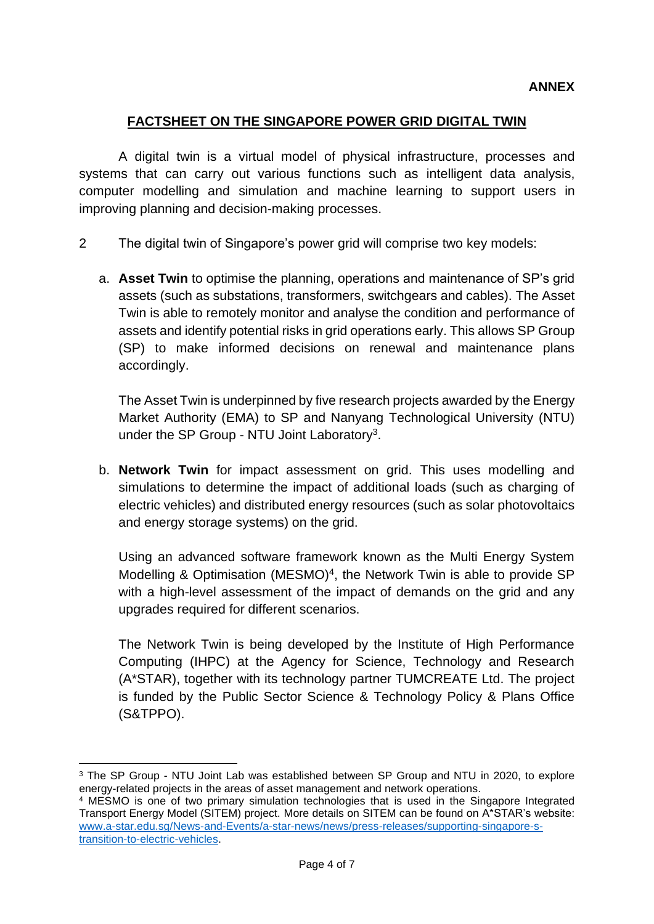#### **FACTSHEET ON THE SINGAPORE POWER GRID DIGITAL TWIN**

A digital twin is a virtual model of physical infrastructure, processes and systems that can carry out various functions such as intelligent data analysis, computer modelling and simulation and machine learning to support users in improving planning and decision-making processes.

- 2 The digital twin of Singapore's power grid will comprise two key models:
	- a. **Asset Twin** to optimise the planning, operations and maintenance of SP's grid assets (such as substations, transformers, switchgears and cables). The Asset Twin is able to remotely monitor and analyse the condition and performance of assets and identify potential risks in grid operations early. This allows SP Group (SP) to make informed decisions on renewal and maintenance plans accordingly.

The Asset Twin is underpinned by five research projects awarded by the Energy Market Authority (EMA) to SP and Nanyang Technological University (NTU) under the SP Group - NTU Joint Laboratory<sup>3</sup>.

b. **Network Twin** for impact assessment on grid. This uses modelling and simulations to determine the impact of additional loads (such as charging of electric vehicles) and distributed energy resources (such as solar photovoltaics and energy storage systems) on the grid.

Using an advanced software framework known as the Multi Energy System Modelling & Optimisation (MESMO)<sup>4</sup>, the Network Twin is able to provide SP with a high-level assessment of the impact of demands on the grid and any upgrades required for different scenarios.

The Network Twin is being developed by the Institute of High Performance Computing (IHPC) at the Agency for Science, Technology and Research (A\*STAR), together with its technology partner TUMCREATE Ltd. The project is funded by the Public Sector Science & Technology Policy & Plans Office (S&TPPO).

<sup>&</sup>lt;sup>3</sup> The SP Group - NTU Joint Lab was established between SP Group and NTU in 2020, to explore energy-related projects in the areas of asset management and network operations.

<sup>&</sup>lt;sup>4</sup> MESMO is one of two primary simulation technologies that is used in the Singapore Integrated Transport Energy Model (SITEM) project. More details on SITEM can be found on A\*STAR's website: [www.a-star.edu.sg/News-and-Events/a-star-news/news/press-releases/supporting-singapore-s](http://www.a-star.edu.sg/News-and-Events/a-star-news/news/press-releases/supporting-singapore-s-transition-to-electric-vehicles)[transition-to-electric-vehicles.](http://www.a-star.edu.sg/News-and-Events/a-star-news/news/press-releases/supporting-singapore-s-transition-to-electric-vehicles)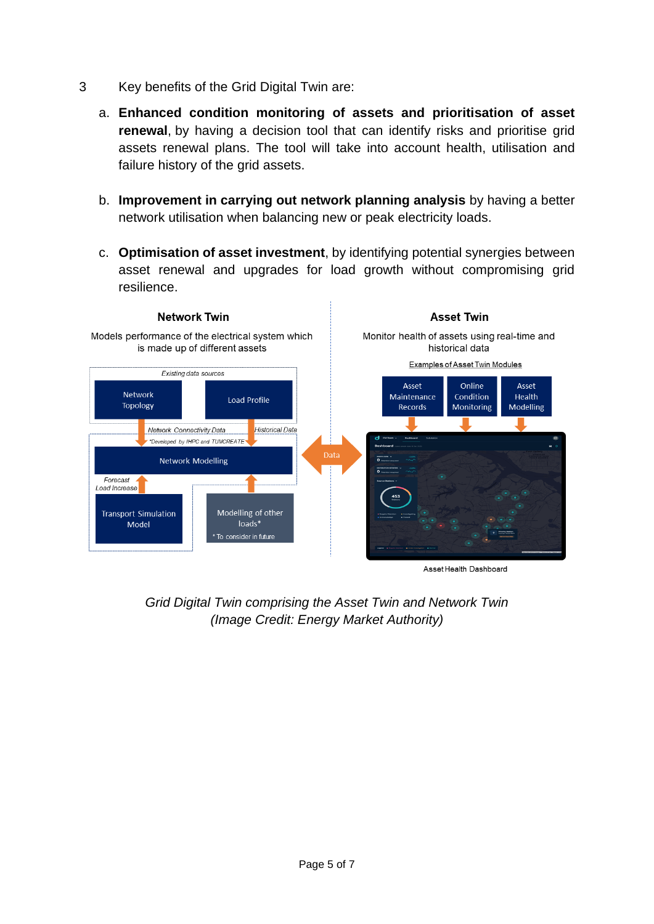- 3 Key benefits of the Grid Digital Twin are:
	- a. **Enhanced condition monitoring of assets and prioritisation of asset renewal**, by having a decision tool that can identify risks and prioritise grid assets renewal plans. The tool will take into account health, utilisation and failure history of the grid assets.
	- b. **Improvement in carrying out network planning analysis** by having a better network utilisation when balancing new or peak electricity loads.
	- c. **Optimisation of asset investment**, by identifying potential synergies between asset renewal and upgrades for load growth without compromising grid resilience.



*Grid Digital Twin comprising the Asset Twin and Network Twin (Image Credit: Energy Market Authority)*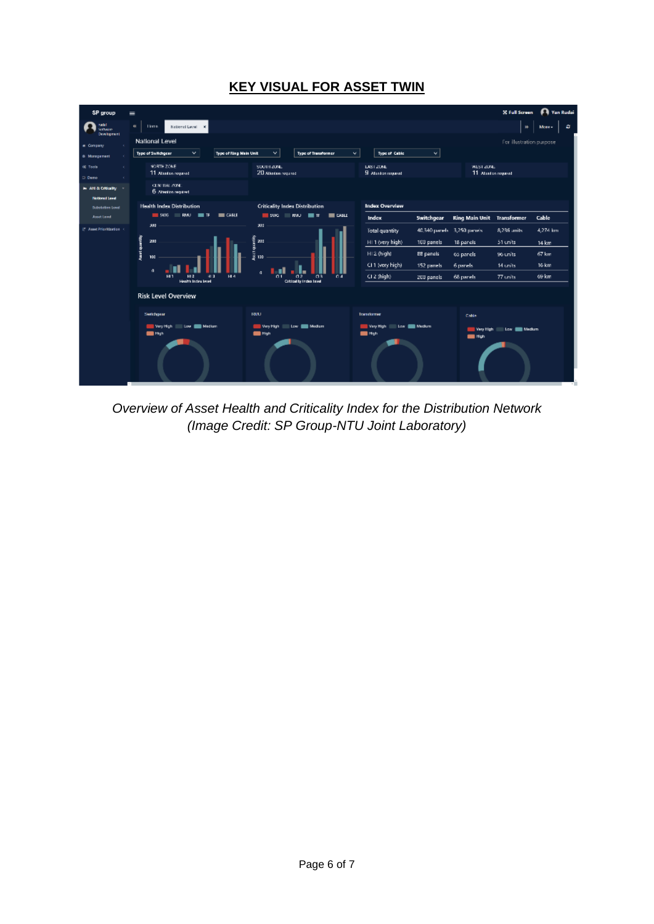# **KEY VISUAL FOR ASSET TWIN**

| SP group                                      | $=$                                                                  |                                                                                      |                                                | <b>Pa</b> Yan Rudai<br><b>X</b> Full Screen            |
|-----------------------------------------------|----------------------------------------------------------------------|--------------------------------------------------------------------------------------|------------------------------------------------|--------------------------------------------------------|
| nudel.<br><b>School</b><br><b>Development</b> | $\theta$ .<br><b>Linese</b><br>National Level<br>×.                  |                                                                                      |                                                | в<br>$\mathbf{H}$<br>More -                            |
| a Company                                     | National Level                                                       |                                                                                      |                                                | For illustration purpose                               |
| 6 Monogement                                  | Type of Switchgear<br>$\mathbf{v}$<br>Type of Ring Main Unit         | v.<br>Type of Thataformer<br>v.                                                      | Type of Cable<br>M                             |                                                        |
| <b>C.</b> Tools<br>D. Deato                   | NORTH ZONE<br>11 Abatan reguest                                      | SOUTH ZUNE.<br>20 Abadan agusod                                                      | <b>EAST ZONE</b><br><b>B</b> Alanton naparell  | WEST ZONE<br>11 Abadon regulat                         |
| in AH & Criticality<br><b>Nettonal Level</b>  | CENTRAL ZONE<br>6 Attention required                                 |                                                                                      |                                                |                                                        |
| <b>Substation Level</b>                       | <b>Health Index Distribution</b>                                     | <b>Criticality Index Distribution</b>                                                | <b>Index Overview</b>                          |                                                        |
| <b>Asset Level</b>                            | $\blacksquare$ SWAG<br>$\equiv$ CABLE<br>RMU.<br>$\blacksquare$      | $\blacksquare$ SWG<br><b>HALL</b><br>$\blacksquare$ CABLE<br>lπ                      | Index<br>Switchgear                            | <b>Ring Main Unit</b><br>Cable<br><b>Transformer</b>   |
| 17 Asset Prioritization 4                     | 300                                                                  | 301                                                                                  | Total quantity<br>40,340 parads 3,250 panels.  | 4,274 km<br>8,236 units                                |
|                                               | 200                                                                  | igi<br>1300<br>1111                                                                  | HI 1 (very high)<br>100 panels                 | 18 panels<br>51 units<br>14 km                         |
|                                               | America purentity<br>100                                             | 130                                                                                  | HI2 (high)<br>22 panels                        | 67 km<br>63 panels<br>96 units                         |
|                                               | $\alpha$                                                             |                                                                                      | CI 1 (very high)<br>152 panels                 | 16 km<br>14 units<br>6 panels                          |
|                                               | <b>HLA</b><br>HI1<br>HI <sub>2</sub><br>41.3<br>Health Indian Issuel | a<br>$\overline{a}$<br>a3<br>Q <sub>1</sub><br>04<br><b>Official by Indicational</b> | $C12$ (high)<br>200 panels                     | 69 km<br>$77$ units<br>68 panels                       |
|                                               | <b>Risk Level Overview</b>                                           |                                                                                      |                                                |                                                        |
|                                               | Senishgear                                                           | TOWLE                                                                                | Transformer                                    | Cable                                                  |
|                                               | Way High<br>Low <b>III</b> Medium<br>$m_{\rm ph}$                    | Way High<br>Low <b>De Madem</b><br>$m$ High                                          | Wery High<br>Low <b>Com</b> Meckett<br>$m$ Hgh | Low <b>EX Medium</b><br>Wery High<br><b>Expertised</b> |
|                                               |                                                                      |                                                                                      |                                                |                                                        |

*Overview of Asset Health and Criticality Index for the Distribution Network (Image Credit: SP Group-NTU Joint Laboratory)*